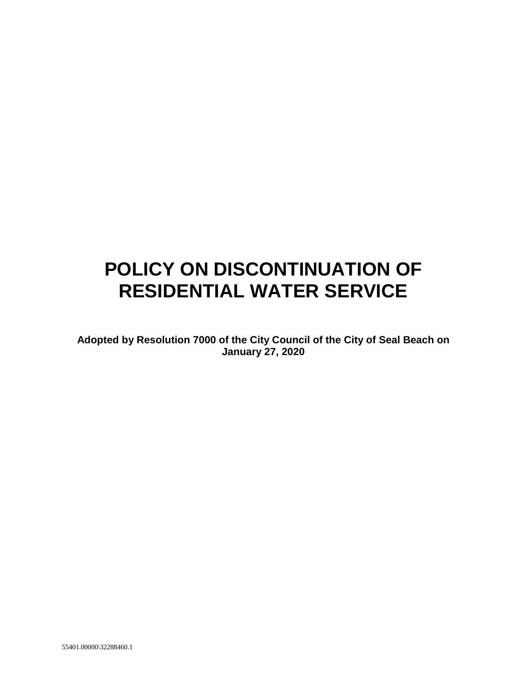# **POLICY ON DISCONTINUATION OF RESIDENTIAL WATER SERVICE**

**Adopted by Resolution 7000 of the City Council of the City of Seal Beach on January 27, 2020**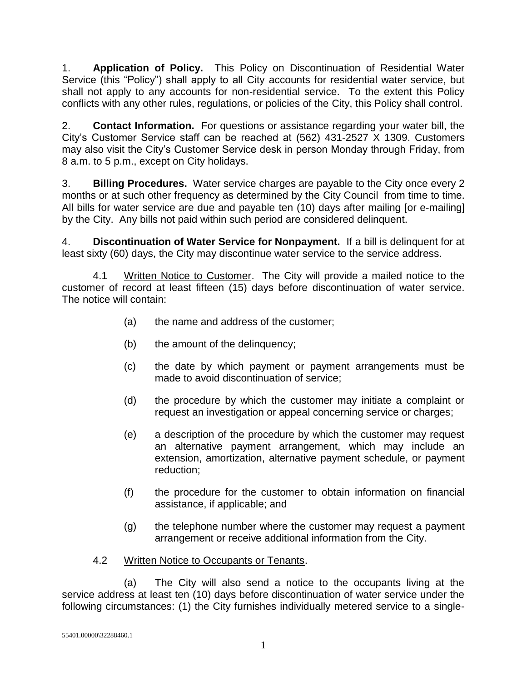1. **Application of Policy.** This Policy on Discontinuation of Residential Water Service (this "Policy") shall apply to all City accounts for residential water service, but shall not apply to any accounts for non-residential service. To the extent this Policy conflicts with any other rules, regulations, or policies of the City, this Policy shall control.

2. **Contact Information.** For questions or assistance regarding your water bill, the City's Customer Service staff can be reached at (562) 431-2527 X 1309. Customers may also visit the City's Customer Service desk in person Monday through Friday, from 8 a.m. to 5 p.m., except on City holidays.

3. **Billing Procedures.** Water service charges are payable to the City once every 2 months or at such other frequency as determined by the City Council from time to time. All bills for water service are due and payable ten (10) days after mailing [or e-mailing] by the City. Any bills not paid within such period are considered delinquent.

4. **Discontinuation of Water Service for Nonpayment.** If a bill is delinquent for at least sixty (60) days, the City may discontinue water service to the service address.

4.1 Written Notice to Customer. The City will provide a mailed notice to the customer of record at least fifteen (15) days before discontinuation of water service. The notice will contain:

- (a) the name and address of the customer;
- (b) the amount of the delinquency;
- (c) the date by which payment or payment arrangements must be made to avoid discontinuation of service;
- (d) the procedure by which the customer may initiate a complaint or request an investigation or appeal concerning service or charges;
- (e) a description of the procedure by which the customer may request an alternative payment arrangement, which may include an extension, amortization, alternative payment schedule, or payment reduction;
- (f) the procedure for the customer to obtain information on financial assistance, if applicable; and
- (g) the telephone number where the customer may request a payment arrangement or receive additional information from the City.
- 4.2 Written Notice to Occupants or Tenants.

(a) The City will also send a notice to the occupants living at the service address at least ten (10) days before discontinuation of water service under the following circumstances: (1) the City furnishes individually metered service to a single-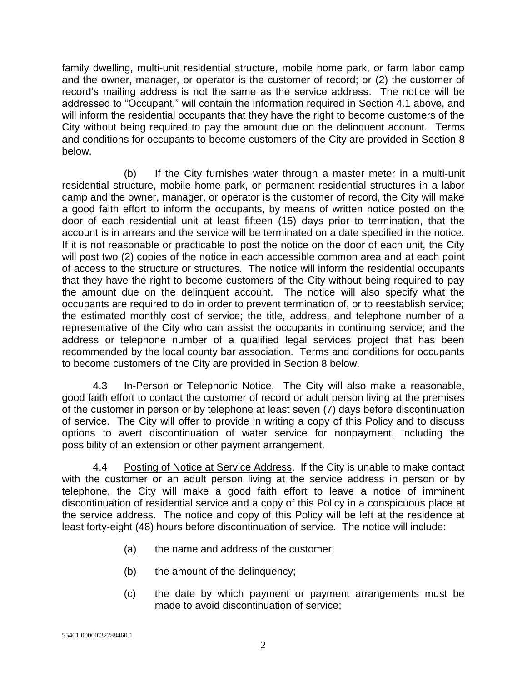family dwelling, multi-unit residential structure, mobile home park, or farm labor camp and the owner, manager, or operator is the customer of record; or (2) the customer of record's mailing address is not the same as the service address. The notice will be addressed to "Occupant," will contain the information required in Section 4.1 above, and will inform the residential occupants that they have the right to become customers of the City without being required to pay the amount due on the delinquent account. Terms and conditions for occupants to become customers of the City are provided in Section 8 below.

(b) If the City furnishes water through a master meter in a multi-unit residential structure, mobile home park, or permanent residential structures in a labor camp and the owner, manager, or operator is the customer of record, the City will make a good faith effort to inform the occupants, by means of written notice posted on the door of each residential unit at least fifteen (15) days prior to termination, that the account is in arrears and the service will be terminated on a date specified in the notice. If it is not reasonable or practicable to post the notice on the door of each unit, the City will post two (2) copies of the notice in each accessible common area and at each point of access to the structure or structures. The notice will inform the residential occupants that they have the right to become customers of the City without being required to pay the amount due on the delinquent account. The notice will also specify what the occupants are required to do in order to prevent termination of, or to reestablish service; the estimated monthly cost of service; the title, address, and telephone number of a representative of the City who can assist the occupants in continuing service; and the address or telephone number of a qualified legal services project that has been recommended by the local county bar association. Terms and conditions for occupants to become customers of the City are provided in Section 8 below.

4.3 In-Person or Telephonic Notice. The City will also make a reasonable, good faith effort to contact the customer of record or adult person living at the premises of the customer in person or by telephone at least seven (7) days before discontinuation of service. The City will offer to provide in writing a copy of this Policy and to discuss options to avert discontinuation of water service for nonpayment, including the possibility of an extension or other payment arrangement.

4.4 Posting of Notice at Service Address. If the City is unable to make contact with the customer or an adult person living at the service address in person or by telephone, the City will make a good faith effort to leave a notice of imminent discontinuation of residential service and a copy of this Policy in a conspicuous place at the service address. The notice and copy of this Policy will be left at the residence at least forty-eight (48) hours before discontinuation of service. The notice will include:

- (a) the name and address of the customer;
- (b) the amount of the delinquency;
- (c) the date by which payment or payment arrangements must be made to avoid discontinuation of service;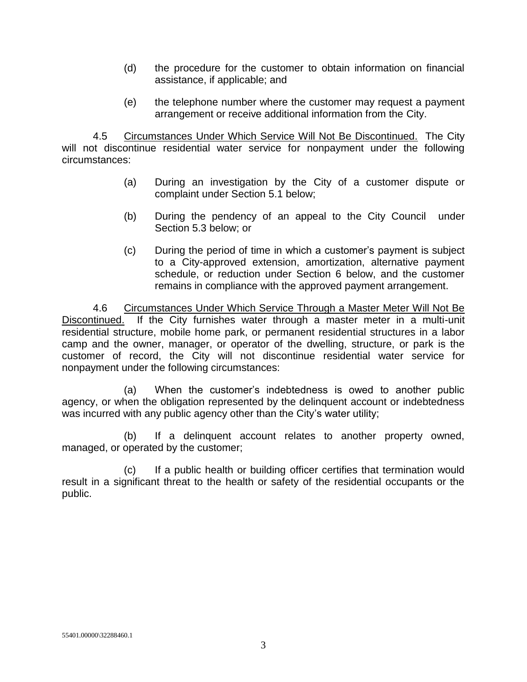- (d) the procedure for the customer to obtain information on financial assistance, if applicable; and
- (e) the telephone number where the customer may request a payment arrangement or receive additional information from the City.

4.5 Circumstances Under Which Service Will Not Be Discontinued. The City will not discontinue residential water service for nonpayment under the following circumstances:

- (a) During an investigation by the City of a customer dispute or complaint under Section 5.1 below;
- (b) During the pendency of an appeal to the City Council under Section 5.3 below; or
- (c) During the period of time in which a customer's payment is subject to a City-approved extension, amortization, alternative payment schedule, or reduction under Section 6 below, and the customer remains in compliance with the approved payment arrangement.

4.6 Circumstances Under Which Service Through a Master Meter Will Not Be Discontinued. If the City furnishes water through a master meter in a multi-unit residential structure, mobile home park, or permanent residential structures in a labor camp and the owner, manager, or operator of the dwelling, structure, or park is the customer of record, the City will not discontinue residential water service for nonpayment under the following circumstances:

(a) When the customer's indebtedness is owed to another public agency, or when the obligation represented by the delinquent account or indebtedness was incurred with any public agency other than the City's water utility;

(b) If a delinquent account relates to another property owned, managed, or operated by the customer;

(c) If a public health or building officer certifies that termination would result in a significant threat to the health or safety of the residential occupants or the public.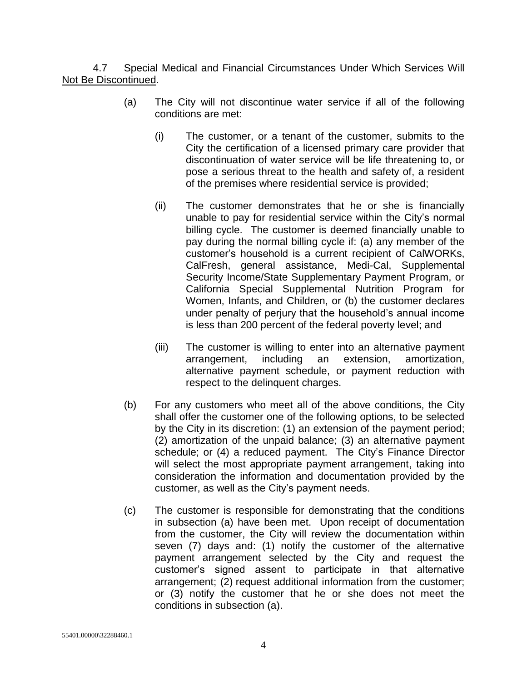#### 4.7 Special Medical and Financial Circumstances Under Which Services Will Not Be Discontinued.

- (a) The City will not discontinue water service if all of the following conditions are met:
	- (i) The customer, or a tenant of the customer, submits to the City the certification of a licensed primary care provider that discontinuation of water service will be life threatening to, or pose a serious threat to the health and safety of, a resident of the premises where residential service is provided;
	- (ii) The customer demonstrates that he or she is financially unable to pay for residential service within the City's normal billing cycle. The customer is deemed financially unable to pay during the normal billing cycle if: (a) any member of the customer's household is a current recipient of CalWORKs, CalFresh, general assistance, Medi-Cal, Supplemental Security Income/State Supplementary Payment Program, or California Special Supplemental Nutrition Program for Women, Infants, and Children, or (b) the customer declares under penalty of perjury that the household's annual income is less than 200 percent of the federal poverty level; and
	- (iii) The customer is willing to enter into an alternative payment arrangement, including an extension, amortization, alternative payment schedule, or payment reduction with respect to the delinquent charges.
- (b) For any customers who meet all of the above conditions, the City shall offer the customer one of the following options, to be selected by the City in its discretion: (1) an extension of the payment period; (2) amortization of the unpaid balance; (3) an alternative payment schedule; or (4) a reduced payment. The City's Finance Director will select the most appropriate payment arrangement, taking into consideration the information and documentation provided by the customer, as well as the City's payment needs.
- (c) The customer is responsible for demonstrating that the conditions in subsection (a) have been met. Upon receipt of documentation from the customer, the City will review the documentation within seven (7) days and: (1) notify the customer of the alternative payment arrangement selected by the City and request the customer's signed assent to participate in that alternative arrangement; (2) request additional information from the customer; or (3) notify the customer that he or she does not meet the conditions in subsection (a).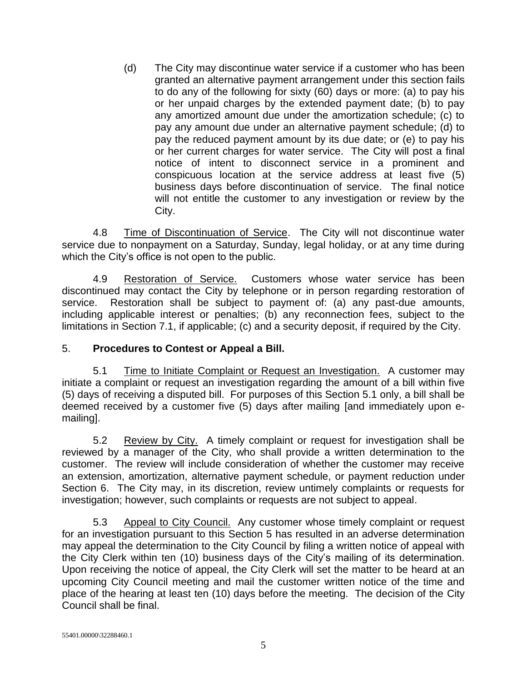(d) The City may discontinue water service if a customer who has been granted an alternative payment arrangement under this section fails to do any of the following for sixty (60) days or more: (a) to pay his or her unpaid charges by the extended payment date; (b) to pay any amortized amount due under the amortization schedule; (c) to pay any amount due under an alternative payment schedule; (d) to pay the reduced payment amount by its due date; or (e) to pay his or her current charges for water service. The City will post a final notice of intent to disconnect service in a prominent and conspicuous location at the service address at least five (5) business days before discontinuation of service. The final notice will not entitle the customer to any investigation or review by the City.

4.8 Time of Discontinuation of Service. The City will not discontinue water service due to nonpayment on a Saturday, Sunday, legal holiday, or at any time during which the City's office is not open to the public.

4.9 Restoration of Service. Customers whose water service has been discontinued may contact the City by telephone or in person regarding restoration of service. Restoration shall be subject to payment of: (a) any past-due amounts, including applicable interest or penalties; (b) any reconnection fees, subject to the limitations in Section 7.1, if applicable; (c) and a security deposit, if required by the City.

#### 5. **Procedures to Contest or Appeal a Bill.**

5.1 Time to Initiate Complaint or Request an Investigation. A customer may initiate a complaint or request an investigation regarding the amount of a bill within five (5) days of receiving a disputed bill. For purposes of this Section 5.1 only, a bill shall be deemed received by a customer five (5) days after mailing [and immediately upon emailing].

5.2 Review by City. A timely complaint or request for investigation shall be reviewed by a manager of the City, who shall provide a written determination to the customer. The review will include consideration of whether the customer may receive an extension, amortization, alternative payment schedule, or payment reduction under Section 6. The City may, in its discretion, review untimely complaints or requests for investigation; however, such complaints or requests are not subject to appeal.

5.3 Appeal to City Council. Any customer whose timely complaint or request for an investigation pursuant to this Section 5 has resulted in an adverse determination may appeal the determination to the City Council by filing a written notice of appeal with the City Clerk within ten (10) business days of the City's mailing of its determination. Upon receiving the notice of appeal, the City Clerk will set the matter to be heard at an upcoming City Council meeting and mail the customer written notice of the time and place of the hearing at least ten (10) days before the meeting. The decision of the City Council shall be final.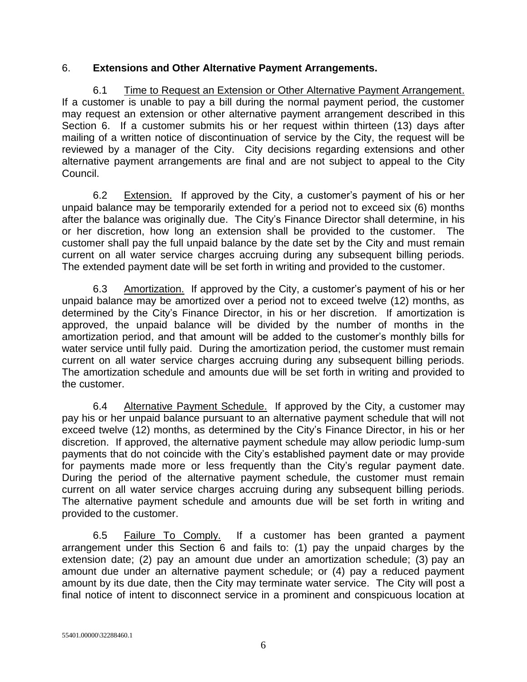#### 6. **Extensions and Other Alternative Payment Arrangements.**

6.1 Time to Request an Extension or Other Alternative Payment Arrangement. If a customer is unable to pay a bill during the normal payment period, the customer may request an extension or other alternative payment arrangement described in this Section 6. If a customer submits his or her request within thirteen (13) days after mailing of a written notice of discontinuation of service by the City, the request will be reviewed by a manager of the City. City decisions regarding extensions and other alternative payment arrangements are final and are not subject to appeal to the City Council.

6.2 Extension. If approved by the City, a customer's payment of his or her unpaid balance may be temporarily extended for a period not to exceed six (6) months after the balance was originally due. The City's Finance Director shall determine, in his or her discretion, how long an extension shall be provided to the customer. The customer shall pay the full unpaid balance by the date set by the City and must remain current on all water service charges accruing during any subsequent billing periods. The extended payment date will be set forth in writing and provided to the customer.

6.3 Amortization. If approved by the City, a customer's payment of his or her unpaid balance may be amortized over a period not to exceed twelve (12) months, as determined by the City's Finance Director, in his or her discretion. If amortization is approved, the unpaid balance will be divided by the number of months in the amortization period, and that amount will be added to the customer's monthly bills for water service until fully paid. During the amortization period, the customer must remain current on all water service charges accruing during any subsequent billing periods. The amortization schedule and amounts due will be set forth in writing and provided to the customer.

6.4 Alternative Payment Schedule. If approved by the City, a customer may pay his or her unpaid balance pursuant to an alternative payment schedule that will not exceed twelve (12) months, as determined by the City's Finance Director, in his or her discretion. If approved, the alternative payment schedule may allow periodic lump-sum payments that do not coincide with the City's established payment date or may provide for payments made more or less frequently than the City's regular payment date. During the period of the alternative payment schedule, the customer must remain current on all water service charges accruing during any subsequent billing periods. The alternative payment schedule and amounts due will be set forth in writing and provided to the customer.

6.5 Failure To Comply. If a customer has been granted a payment arrangement under this Section 6 and fails to: (1) pay the unpaid charges by the extension date; (2) pay an amount due under an amortization schedule; (3) pay an amount due under an alternative payment schedule; or (4) pay a reduced payment amount by its due date, then the City may terminate water service. The City will post a final notice of intent to disconnect service in a prominent and conspicuous location at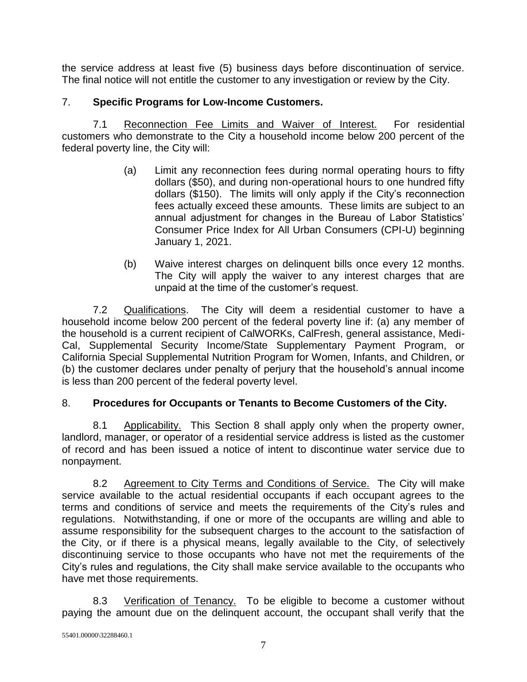the service address at least five (5) business days before discontinuation of service. The final notice will not entitle the customer to any investigation or review by the City.

## 7. **Specific Programs for Low-Income Customers.**

7.1 Reconnection Fee Limits and Waiver of Interest. For residential customers who demonstrate to the City a household income below 200 percent of the federal poverty line, the City will:

- (a) Limit any reconnection fees during normal operating hours to fifty dollars (\$50), and during non-operational hours to one hundred fifty dollars (\$150). The limits will only apply if the City's reconnection fees actually exceed these amounts. These limits are subject to an annual adjustment for changes in the Bureau of Labor Statistics' Consumer Price Index for All Urban Consumers (CPI-U) beginning January 1, 2021.
- (b) Waive interest charges on delinquent bills once every 12 months. The City will apply the waiver to any interest charges that are unpaid at the time of the customer's request.

7.2 Qualifications. The City will deem a residential customer to have a household income below 200 percent of the federal poverty line if: (a) any member of the household is a current recipient of CalWORKs, CalFresh, general assistance, Medi-Cal, Supplemental Security Income/State Supplementary Payment Program, or California Special Supplemental Nutrition Program for Women, Infants, and Children, or (b) the customer declares under penalty of perjury that the household's annual income is less than 200 percent of the federal poverty level.

### 8. **Procedures for Occupants or Tenants to Become Customers of the City.**

8.1 Applicability. This Section 8 shall apply only when the property owner, landlord, manager, or operator of a residential service address is listed as the customer of record and has been issued a notice of intent to discontinue water service due to nonpayment.

8.2 Agreement to City Terms and Conditions of Service. The City will make service available to the actual residential occupants if each occupant agrees to the terms and conditions of service and meets the requirements of the City's rules and regulations. Notwithstanding, if one or more of the occupants are willing and able to assume responsibility for the subsequent charges to the account to the satisfaction of the City, or if there is a physical means, legally available to the City, of selectively discontinuing service to those occupants who have not met the requirements of the City's rules and regulations, the City shall make service available to the occupants who have met those requirements.

8.3 Verification of Tenancy. To be eligible to become a customer without paying the amount due on the delinquent account, the occupant shall verify that the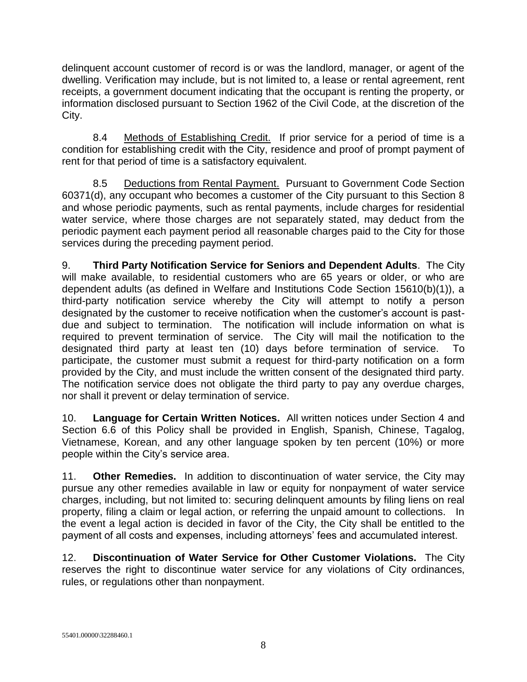delinquent account customer of record is or was the landlord, manager, or agent of the dwelling. Verification may include, but is not limited to, a lease or rental agreement, rent receipts, a government document indicating that the occupant is renting the property, or information disclosed pursuant to Section 1962 of the Civil Code, at the discretion of the City.

8.4 Methods of Establishing Credit. If prior service for a period of time is a condition for establishing credit with the City, residence and proof of prompt payment of rent for that period of time is a satisfactory equivalent.

8.5 Deductions from Rental Payment. Pursuant to Government Code Section 60371(d), any occupant who becomes a customer of the City pursuant to this Section 8 and whose periodic payments, such as rental payments, include charges for residential water service, where those charges are not separately stated, may deduct from the periodic payment each payment period all reasonable charges paid to the City for those services during the preceding payment period.

9. **Third Party Notification Service for Seniors and Dependent Adults**. The City will make available, to residential customers who are 65 years or older, or who are dependent adults (as defined in Welfare and Institutions Code Section 15610(b)(1)), a third-party notification service whereby the City will attempt to notify a person designated by the customer to receive notification when the customer's account is pastdue and subject to termination. The notification will include information on what is required to prevent termination of service. The City will mail the notification to the designated third party at least ten (10) days before termination of service. To participate, the customer must submit a request for third-party notification on a form provided by the City, and must include the written consent of the designated third party. The notification service does not obligate the third party to pay any overdue charges, nor shall it prevent or delay termination of service.

10. **Language for Certain Written Notices.** All written notices under Section 4 and Section 6.6 of this Policy shall be provided in English, Spanish, Chinese, Tagalog, Vietnamese, Korean, and any other language spoken by ten percent (10%) or more people within the City's service area.

11. **Other Remedies.** In addition to discontinuation of water service, the City may pursue any other remedies available in law or equity for nonpayment of water service charges, including, but not limited to: securing delinquent amounts by filing liens on real property, filing a claim or legal action, or referring the unpaid amount to collections. In the event a legal action is decided in favor of the City, the City shall be entitled to the payment of all costs and expenses, including attorneys' fees and accumulated interest.

12. **Discontinuation of Water Service for Other Customer Violations.** The City reserves the right to discontinue water service for any violations of City ordinances, rules, or regulations other than nonpayment.